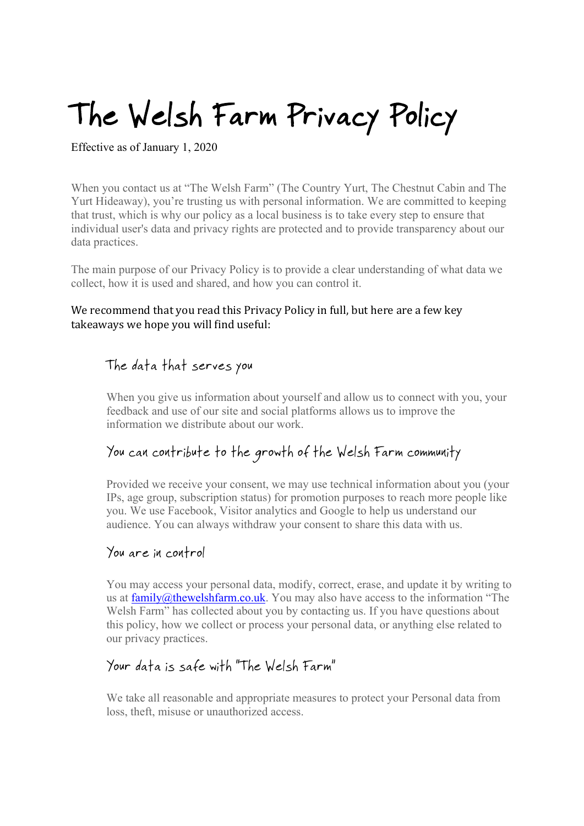# The Welsh Farm Privacy Policy

Effective as of January 1, 2020

When you contact us at "The Welsh Farm" (The Country Yurt, The Chestnut Cabin and The Yurt Hideaway), you're trusting us with personal information. We are committed to keeping that trust, which is why our policy as a local business is to take every step to ensure that individual user's data and privacy rights are protected and to provide transparency about our data practices.

The main purpose of our Privacy Policy is to provide a clear understanding of what data we collect, how it is used and shared, and how you can control it.

#### We recommend that you read this Privacy Policy in full, but here are a few key takeaways we hope you will find useful:

# The data that serves you

When you give us information about yourself and allow us to connect with you, your feedback and use of our site and social platforms allows us to improve the information we distribute about our work.

# You can contribute to the growth of the Welsh Farm community

Provided we receive your consent, we may use technical information about you (your IPs, age group, subscription status) for promotion purposes to reach more people like you. We use Facebook, Visitor analytics and Google to help us understand our audience. You can always withdraw your consent to share this data with us.

#### You are in control

You may access your personal data, modify, correct, erase, and update it by writing to us at  $family@$ thewelshfarm.co.uk. You may also have access to the information "The Welsh Farm" has collected about you by contacting us. If you have questions about this policy, how we collect or process your personal data, or anything else related to our privacy practices.

# Your data is safe with "The Welsh Farm"

We take all reasonable and appropriate measures to protect your Personal data from loss, theft, misuse or unauthorized access.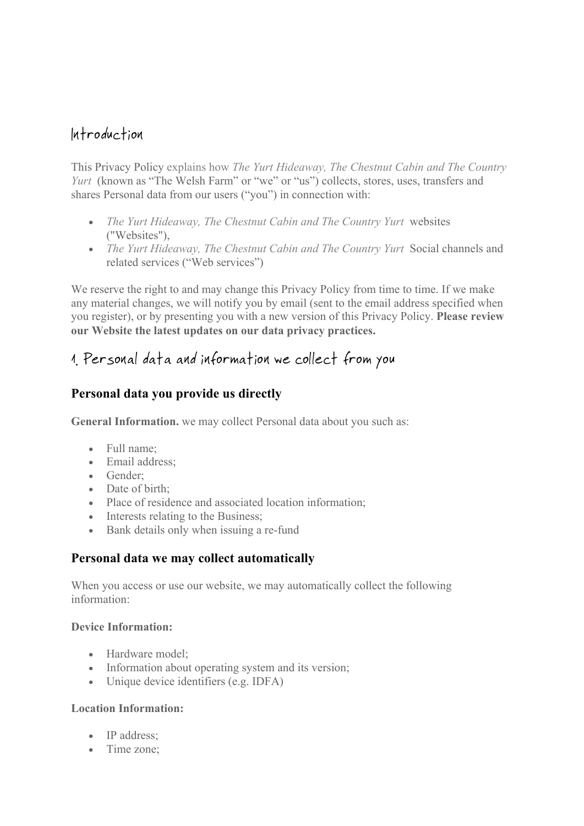# Introduction

This Privacy Policy explains how *The Yurt Hideaway, The Chestnut Cabin and The Country Yurt* (known as "The Welsh Farm" or "we" or "us") collects, stores, uses, transfers and shares Personal data from our users ("you") in connection with:

- *The Yurt Hideaway, The Chestnut Cabin and The Country Yurt* websites ("Websites"),
- *The Yurt Hideaway, The Chestnut Cabin and The Country Yurt* Social channels and related services ("Web services")

We reserve the right to and may change this Privacy Policy from time to time. If we make any material changes, we will notify you by email (sent to the email address specified when you register), or by presenting you with a new version of this Privacy Policy. **Please review our Website the latest updates on our data privacy practices.**

# 1. Personal data and information we collect from you

# **Personal data you provide us directly**

**General Information.** we may collect Personal data about you such as:

- Full name;
- Email address;
- Gender;
- Date of birth:
- Place of residence and associated location information;
- Interests relating to the Business;
- Bank details only when issuing a re-fund

## **Personal data we may collect automatically**

When you access or use our website, we may automatically collect the following information:

#### **Device Information:**

- Hardware model:
- Information about operating system and its version;
- Unique device identifiers (e.g. IDFA)

#### **Location Information:**

- IP address:
- Time zone: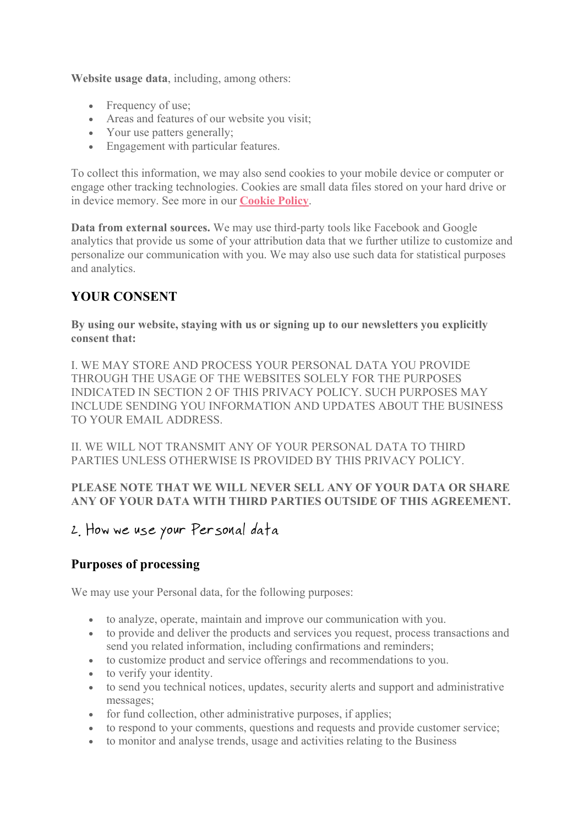**Website usage data**, including, among others:

- Frequency of use;
- Areas and features of our website you visit;
- Your use patters generally;
- Engagement with particular features.

To collect this information, we may also send cookies to your mobile device or computer or engage other tracking technologies. Cookies are small data files stored on your hard drive or in device memory. See more in our **Cookie Policy**.

**Data from external sources.** We may use third-party tools like Facebook and Google analytics that provide us some of your attribution data that we further utilize to customize and personalize our communication with you. We may also use such data for statistical purposes and analytics.

## **YOUR CONSENT**

**By using our website, staying with us or signing up to our newsletters you explicitly consent that:**

I. WE MAY STORE AND PROCESS YOUR PERSONAL DATA YOU PROVIDE THROUGH THE USAGE OF THE WEBSITES SOLELY FOR THE PURPOSES INDICATED IN SECTION 2 OF THIS PRIVACY POLICY. SUCH PURPOSES MAY INCLUDE SENDING YOU INFORMATION AND UPDATES ABOUT THE BUSINESS TO YOUR EMAIL ADDRESS.

II. WE WILL NOT TRANSMIT ANY OF YOUR PERSONAL DATA TO THIRD PARTIES UNLESS OTHERWISE IS PROVIDED BY THIS PRIVACY POLICY.

#### **PLEASE NOTE THAT WE WILL NEVER SELL ANY OF YOUR DATA OR SHARE ANY OF YOUR DATA WITH THIRD PARTIES OUTSIDE OF THIS AGREEMENT.**

# 2. How we use your Personal data

## **Purposes of processing**

We may use your Personal data, for the following purposes:

- to analyze, operate, maintain and improve our communication with you.
- to provide and deliver the products and services you request, process transactions and send you related information, including confirmations and reminders;
- to customize product and service offerings and recommendations to you.
- to verify your identity.
- to send you technical notices, updates, security alerts and support and administrative messages;
- for fund collection, other administrative purposes, if applies;
- to respond to your comments, questions and requests and provide customer service;
- to monitor and analyse trends, usage and activities relating to the Business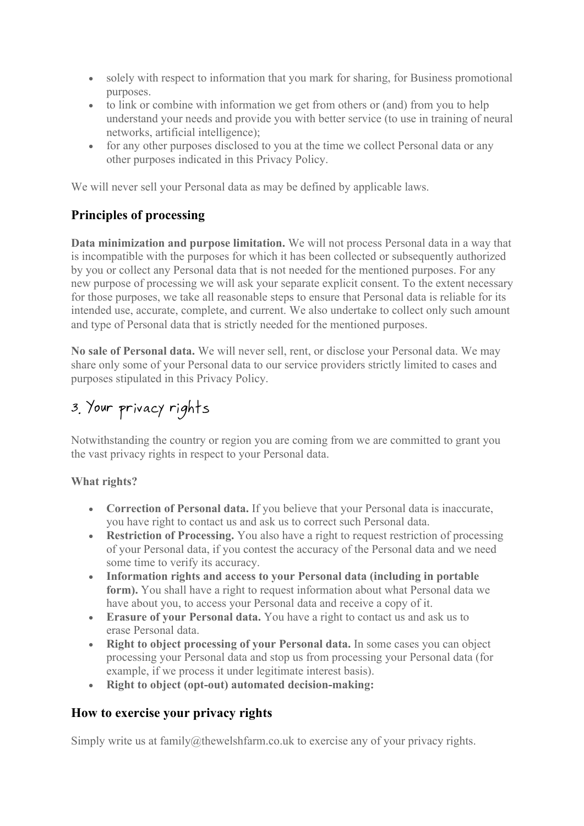- solely with respect to information that you mark for sharing, for Business promotional purposes.
- to link or combine with information we get from others or (and) from you to help understand your needs and provide you with better service (to use in training of neural networks, artificial intelligence);
- for any other purposes disclosed to you at the time we collect Personal data or any other purposes indicated in this Privacy Policy.

We will never sell your Personal data as may be defined by applicable laws.

# **Principles of processing**

**Data minimization and purpose limitation.** We will not process Personal data in a way that is incompatible with the purposes for which it has been collected or subsequently authorized by you or collect any Personal data that is not needed for the mentioned purposes. For any new purpose of processing we will ask your separate explicit consent. To the extent necessary for those purposes, we take all reasonable steps to ensure that Personal data is reliable for its intended use, accurate, complete, and current. We also undertake to collect only such amount and type of Personal data that is strictly needed for the mentioned purposes.

**No sale of Personal data.** We will never sell, rent, or disclose your Personal data. We may share only some of your Personal data to our service providers strictly limited to cases and purposes stipulated in this Privacy Policy.

# 3. Your privacy rights

Notwithstanding the country or region you are coming from we are committed to grant you the vast privacy rights in respect to your Personal data.

#### **What rights?**

- **Correction of Personal data.** If you believe that your Personal data is inaccurate, you have right to contact us and ask us to correct such Personal data.
- **Restriction of Processing.** You also have a right to request restriction of processing of your Personal data, if you contest the accuracy of the Personal data and we need some time to verify its accuracy.
- **Information rights and access to your Personal data (including in portable form).** You shall have a right to request information about what Personal data we have about you, to access your Personal data and receive a copy of it.
- **Erasure of your Personal data.** You have a right to contact us and ask us to erase Personal data.
- **Right to object processing of your Personal data.** In some cases you can object processing your Personal data and stop us from processing your Personal data (for example, if we process it under legitimate interest basis).
- **Right to object (opt-out) automated decision-making:**

## **How to exercise your privacy rights**

Simply write us at family@thewelshfarm.co.uk to exercise any of your privacy rights.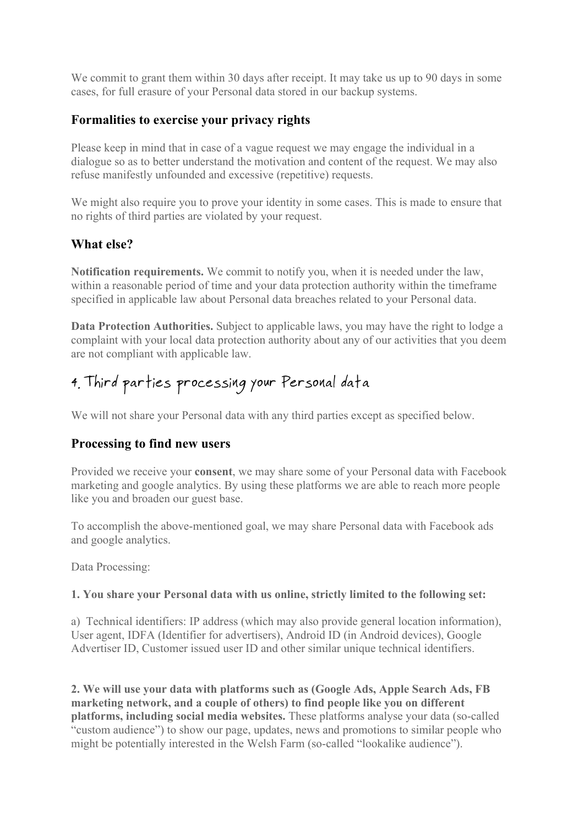We commit to grant them within 30 days after receipt. It may take us up to 90 days in some cases, for full erasure of your Personal data stored in our backup systems.

## **Formalities to exercise your privacy rights**

Please keep in mind that in case of a vague request we may engage the individual in a dialogue so as to better understand the motivation and content of the request. We may also refuse manifestly unfounded and excessive (repetitive) requests.

We might also require you to prove your identity in some cases. This is made to ensure that no rights of third parties are violated by your request.

## **What else?**

**Notification requirements.** We commit to notify you, when it is needed under the law, within a reasonable period of time and your data protection authority within the timeframe specified in applicable law about Personal data breaches related to your Personal data.

**Data Protection Authorities.** Subject to applicable laws, you may have the right to lodge a complaint with your local data protection authority about any of our activities that you deem are not compliant with applicable law.

# 4. Third parties processing your Personal data

We will not share your Personal data with any third parties except as specified below.

## **Processing to find new users**

Provided we receive your **consent**, we may share some of your Personal data with Facebook marketing and google analytics. By using these platforms we are able to reach more people like you and broaden our guest base.

To accomplish the above-mentioned goal, we may share Personal data with Facebook ads and google analytics.

Data Processing:

#### **1. You share your Personal data with us online, strictly limited to the following set:**

a) Technical identifiers: IP address (which may also provide general location information), User agent, IDFA (Identifier for advertisers), Android ID (in Android devices), Google Advertiser ID, Customer issued user ID and other similar unique technical identifiers.

**2. We will use your data with platforms such as (Google Ads, Apple Search Ads, FB marketing network, and a couple of others) to find people like you on different platforms, including social media websites.** These platforms analyse your data (so-called "custom audience") to show our page, updates, news and promotions to similar people who might be potentially interested in the Welsh Farm (so-called "lookalike audience").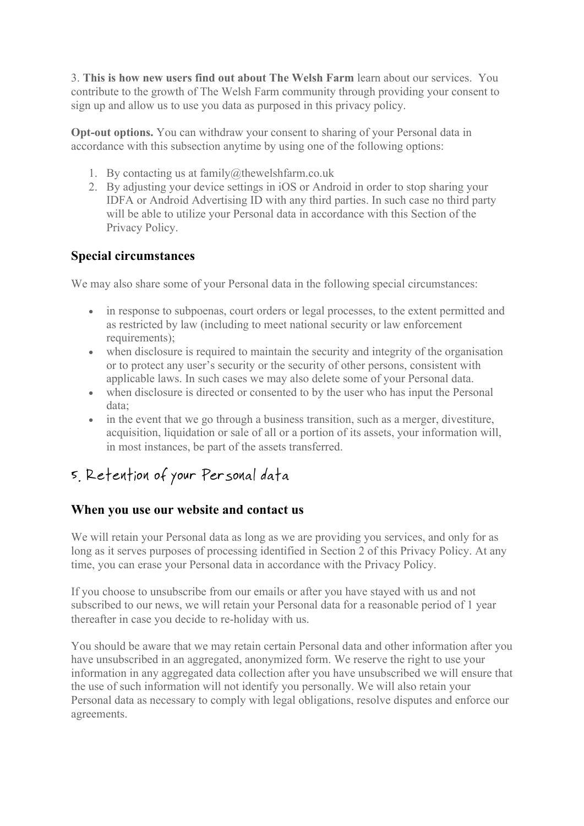3. **This is how new users find out about The Welsh Farm** learn about our services. You contribute to the growth of The Welsh Farm community through providing your consent to sign up and allow us to use you data as purposed in this privacy policy.

**Opt-out options.** You can withdraw your consent to sharing of your Personal data in accordance with this subsection anytime by using one of the following options:

- 1. By contacting us at family@thewelshfarm.co.uk
- 2. By adjusting your device settings in iOS or Android in order to stop sharing your IDFA or Android Advertising ID with any third parties. In such case no third party will be able to utilize your Personal data in accordance with this Section of the Privacy Policy.

#### **Special circumstances**

We may also share some of your Personal data in the following special circumstances:

- in response to subpoenas, court orders or legal processes, to the extent permitted and as restricted by law (including to meet national security or law enforcement requirements);
- when disclosure is required to maintain the security and integrity of the organisation or to protect any user's security or the security of other persons, consistent with applicable laws. In such cases we may also delete some of your Personal data.
- when disclosure is directed or consented to by the user who has input the Personal data;
- in the event that we go through a business transition, such as a merger, divestiture, acquisition, liquidation or sale of all or a portion of its assets, your information will, in most instances, be part of the assets transferred.

# 5. Retention of your Personal data

## **When you use our website and contact us**

We will retain your Personal data as long as we are providing you services, and only for as long as it serves purposes of processing identified in Section 2 of this Privacy Policy. At any time, you can erase your Personal data in accordance with the Privacy Policy.

If you choose to unsubscribe from our emails or after you have stayed with us and not subscribed to our news, we will retain your Personal data for a reasonable period of 1 year thereafter in case you decide to re-holiday with us.

You should be aware that we may retain certain Personal data and other information after you have unsubscribed in an aggregated, anonymized form. We reserve the right to use your information in any aggregated data collection after you have unsubscribed we will ensure that the use of such information will not identify you personally. We will also retain your Personal data as necessary to comply with legal obligations, resolve disputes and enforce our agreements.